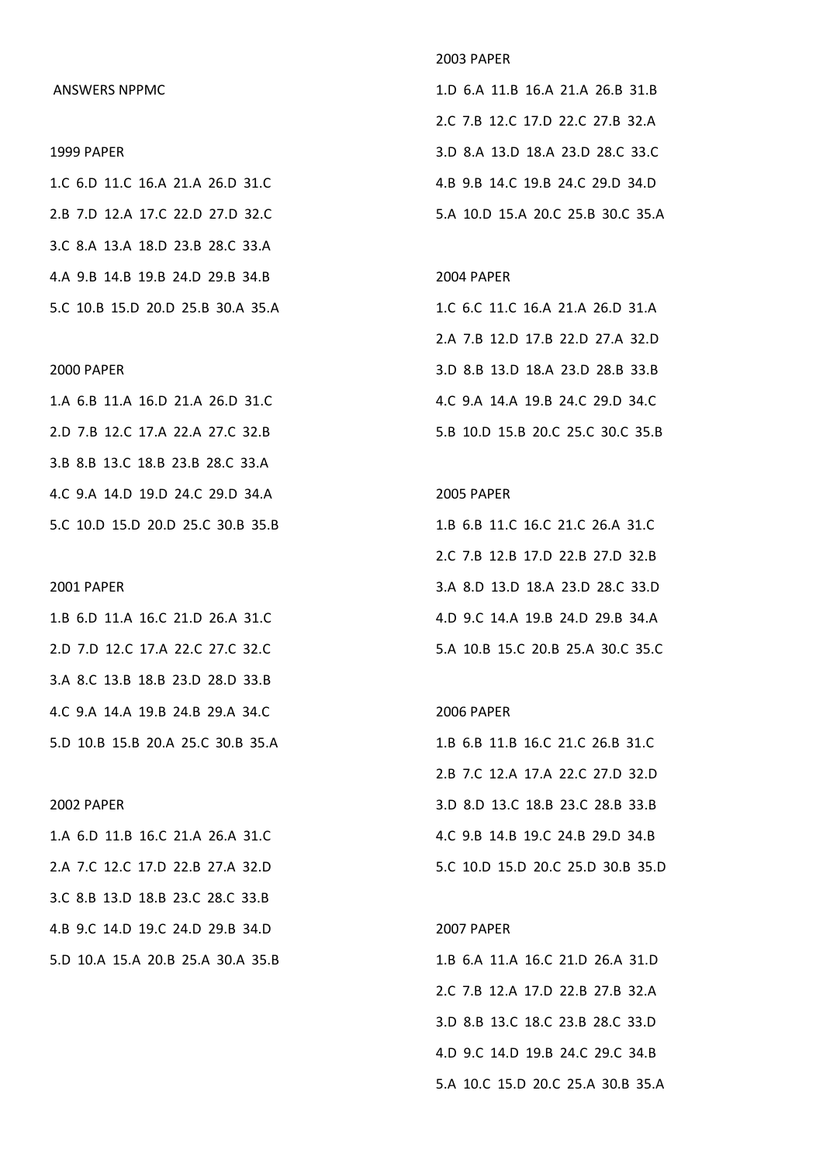## ANSWERS NPPMC

#### 1999 PAPER

1.C 6.D 11.C 16.A 21.A 26.D 31.C 2.B 7.D 12.A 17.C 22.D 27.D 32.C 3.C 8.A 13.A 18.D 23.B 28.C 33.A 4.A 9.B 14.B 19.B 24.D 29.B 34.B 5.C 10.B 15.D 20.D 25.B 30.A 35.A

## 2000 PAPER

1.A 6.B 11.A 16.D 21.A 26.D 31.C 2.D 7.B 12.C 17.A 22.A 27.C 32.B 3.B 8.B 13.C 18.B 23.B 28.C 33.A 4.C 9.A 14.D 19.D 24.C 29.D 34.A 5.C 10.D 15.D 20.D 25.C 30.B 35.B

#### 2001 PAPER

1.B 6.D 11.A 16.C 21.D 26.A 31.C 2.D 7.D 12.C 17.A 22.C 27.C 32.C 3.A 8.C 13.B 18.B 23.D 28.D 33.B 4.C 9.A 14.A 19.B 24.B 29.A 34.C 5.D 10.B 15.B 20.A 25.C 30.B 35.A

### 2002 PAPER

1.A 6.D 11.B 16.C 21.A 26.A 31.C 2.A 7.C 12.C 17.D 22.B 27.A 32.D 3.C 8.B 13.D 18.B 23.C 28.C 33.B 4.B 9.C 14.D 19.C 24.D 29.B 34.D 5.D 10.A 15.A 20.B 25.A 30.A 35.B

## 2003 PAPER

1.D 6.A 11.B 16.A 21.A 26.B 31.B 2.C 7.B 12.C 17.D 22.C 27.B 32.A 3.D 8.A 13.D 18.A 23.D 28.C 33.C 4.B 9.B 14.C 19.B 24.C 29.D 34.D 5.A 10.D 15.A 20.C 25.B 30.C 35.A

### 2004 PAPER

1.C 6.C 11.C 16.A 21.A 26.D 31.A 2.A 7.B 12.D 17.B 22.D 27.A 32.D 3.D 8.B 13.D 18.A 23.D 28.B 33.B 4.C 9.A 14.A 19.B 24.C 29.D 34.C 5.B 10.D 15.B 20.C 25.C 30.C 35.B

# 2005 PAPER

1.B 6.B 11.C 16.C 21.C 26.A 31.C 2.C 7.B 12.B 17.D 22.B 27.D 32.B 3.A 8.D 13.D 18.A 23.D 28.C 33.D 4.D 9.C 14.A 19.B 24.D 29.B 34.A 5.A 10.B 15.C 20.B 25.A 30.C 35.C

#### 2006 PAPER

1.B 6.B 11.B 16.C 21.C 26.B 31.C 2.B 7.C 12.A 17.A 22.C 27.D 32.D 3.D 8.D 13.C 18.B 23.C 28.B 33.B 4.C 9.B 14.B 19.C 24.B 29.D 34.B 5.C 10.D 15.D 20.C 25.D 30.B 35.D

# 2007 PAPER

1.B 6.A 11.A 16.C 21.D 26.A 31.D 2.C 7.B 12.A 17.D 22.B 27.B 32.A 3.D 8.B 13.C 18.C 23.B 28.C 33.D 4.D 9.C 14.D 19.B 24.C 29.C 34.B 5.A 10.C 15.D 20.C 25.A 30.B 35.A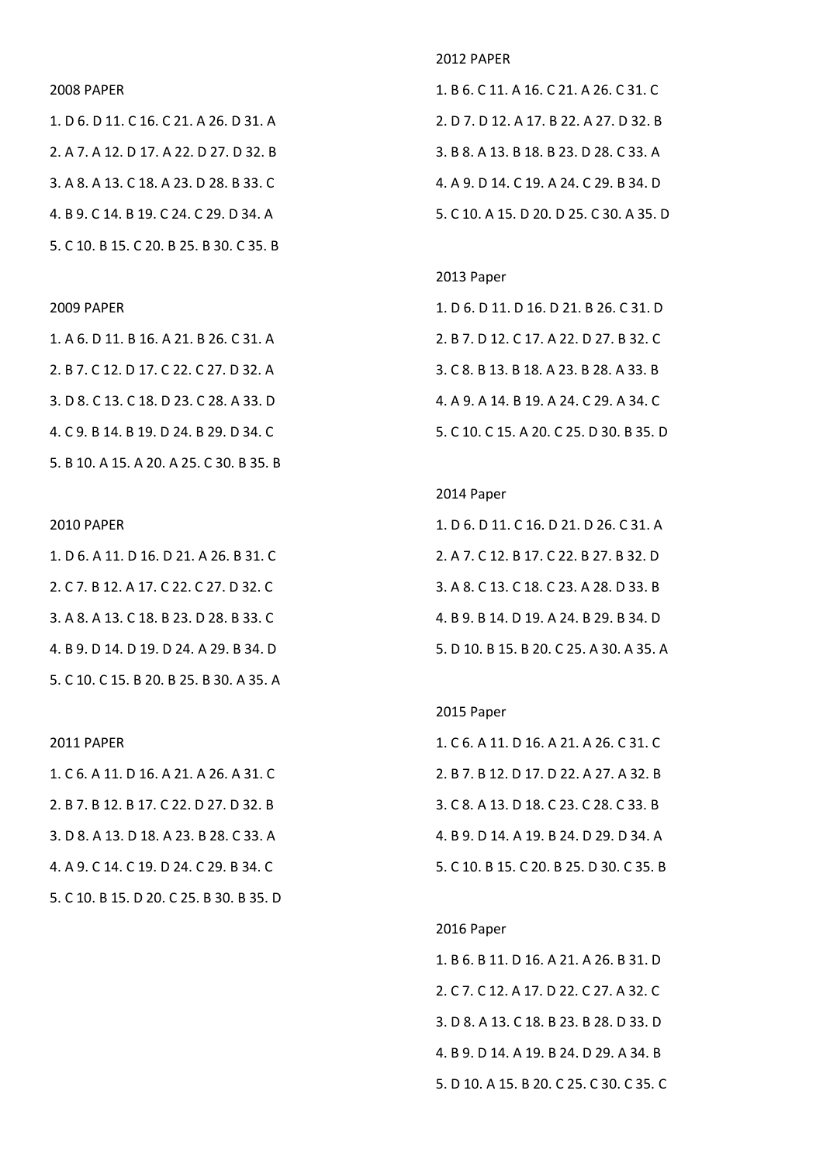## 2008 PAPER

1. D 6. D 11. C 16. C 21. A 26. D 31. A 2. A 7. A 12. D 17. A 22. D 27. D 32. B 3. A 8. A 13. C 18. A 23. D 28. B 33. C 4. B 9. C 14. B 19. C 24. C 29. D 34. A 5. C 10. B 15. C 20. B 25. B 30. C 35. B

## 2009 PAPER

1. A 6. D 11. B 16. A 21. B 26. C 31. A 2. B 7. C 12. D 17. C 22. C 27. D 32. A 3. D 8. C 13. C 18. D 23. C 28. A 33. D 4. C 9. B 14. B 19. D 24. B 29. D 34. C 5. B 10. A 15. A 20. A 25. C 30. B 35. B

## 2010 PAPER

1. D 6. A 11. D 16. D 21. A 26. B 31. C 2. C 7. B 12. A 17. C 22. C 27. D 32. C 3. A 8. A 13. C 18. B 23. D 28. B 33. C 4. B 9. D 14. D 19. D 24. A 29. B 34. D 5. C 10. C 15. B 20. B 25. B 30. A 35. A

#### 2011 PAPER

1. C 6. A 11. D 16. A 21. A 26. A 31. C 2. B 7. B 12. B 17. C 22. D 27. D 32. B 3. D 8. A 13. D 18. A 23. B 28. C 33. A 4. A 9. C 14. C 19. D 24. C 29. B 34. C 5. C 10. B 15. D 20. C 25. B 30. B 35. D

## 2012 PAPER

1. B 6. C 11. A 16. C 21. A 26. C 31. C 2. D 7. D 12. A 17. B 22. A 27. D 32. B 3. B 8. A 13. B 18. B 23. D 28. C 33. A 4. A 9. D 14. C 19. A 24. C 29. B 34. D 5. C 10. A 15. D 20. D 25. C 30. A 35. D

#### 2013 Paper

1. D 6. D 11. D 16. D 21. B 26. C 31. D 2. B 7. D 12. C 17. A 22. D 27. B 32. C 3. C 8. B 13. B 18. A 23. B 28. A 33. B 4. A 9. A 14. B 19. A 24. C 29. A 34. C 5. C 10. C 15. A 20. C 25. D 30. B 35. D

## 2014 Paper

1. D 6. D 11. C 16. D 21. D 26. C 31. A 2. A 7. C 12. B 17. C 22. B 27. B 32. D 3. A 8. C 13. C 18. C 23. A 28. D 33. B 4. B 9. B 14. D 19. A 24. B 29. B 34. D 5. D 10. B 15. B 20. C 25. A 30. A 35. A

## 2015 Paper

1. C 6. A 11. D 16. A 21. A 26. C 31. C 2. B 7. B 12. D 17. D 22. A 27. A 32. B 3. C 8. A 13. D 18. C 23. C 28. C 33. B 4. B 9. D 14. A 19. B 24. D 29. D 34. A 5. C 10. B 15. C 20. B 25. D 30. C 35. B

# 2016 Paper

1. B 6. B 11. D 16. A 21. A 26. B 31. D 2. C 7. C 12. A 17. D 22. C 27. A 32. C 3. D 8. A 13. C 18. B 23. B 28. D 33. D 4. B 9. D 14. A 19. B 24. D 29. A 34. B 5. D 10. A 15. B 20. C 25. C 30. C 35. C